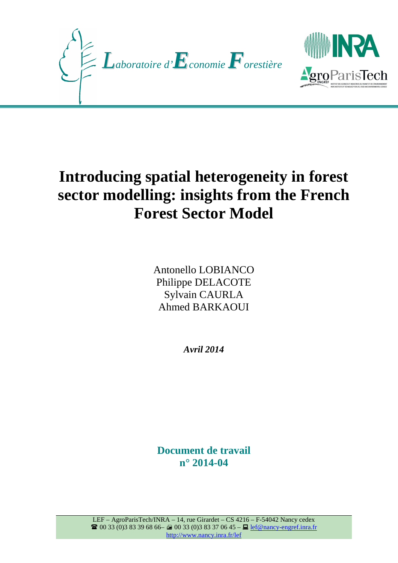



# **Introducing spatial heterogeneity in forest sector modelling: insights from the French Forest Sector Model**

Antonello LOBIANCO Philippe DELACOTE Sylvain CAURLA Ahmed BARKAOUI

*Avril 2014*

**Document de travail n° 2014-04**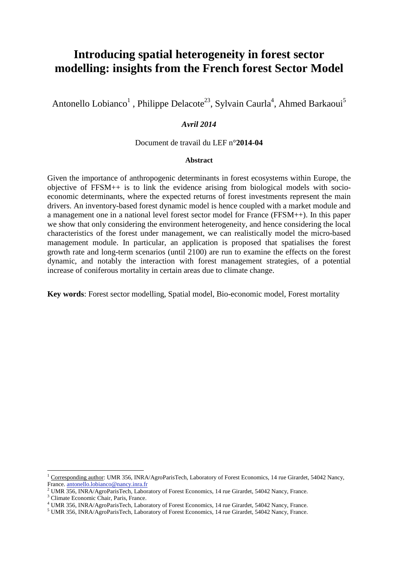# **Introducing spatial heterogeneity in forest sector modelling: insights from the French forest Sector Model**

Antonello Lobianco<sup>1</sup>, Philippe Delacote<sup>23</sup>, Sylvain Caurla<sup>4</sup>, Ahmed Barkaoui<sup>5</sup>

# *Avril 2014*

## Document de travail du LEF n°**2014-04**

#### **Abstract**

Given the importance of anthropogenic determinants in forest ecosystems within Europe, the objective of  $FFSM++$  is to link the evidence arising from biological models with socioeconomic determinants, where the expected returns of forest investments represent the main drivers. An inventory-based forest dynamic model is hence coupled with a market module and a management one in a national level forest sector model for France (FFSM++). In this paper we show that only considering the environment heterogeneity, and hence considering the local characteristics of the forest under management, we can realistically model the micro-based management module. In particular, an application is proposed that spatialises the forest growth rate and long-term scenarios (until 2100) are run to examine the effects on the forest dynamic, and notably the interaction with forest management strategies, of a potential increase of coniferous mortality in certain areas due to climate change.

**Key words**: Forest sector modelling, Spatial model, Bio-economic model, Forest mortality

3 Climate Economic Chair, Paris, France.

 $\overline{a}$ 

<sup>&</sup>lt;sup>1</sup> Corresponding author: UMR 356, INRA/AgroParisTech, Laboratory of Forest Economics, 14 rue Girardet, 54042 Nancy, France. antonello.lobianco@nancy.inra.fr

<sup>&</sup>lt;sup>2</sup> UMR 356, INRA/AgroParisTech, Laboratory of Forest Economics, 14 rue Girardet, 54042 Nancy, France.

<sup>4</sup> UMR 356, INRA/AgroParisTech, Laboratory of Forest Economics, 14 rue Girardet, 54042 Nancy, France.

<sup>&</sup>lt;sup>5</sup> UMR 356, INRA/AgroParisTech, Laboratory of Forest Economics, 14 rue Girardet, 54042 Nancy, France.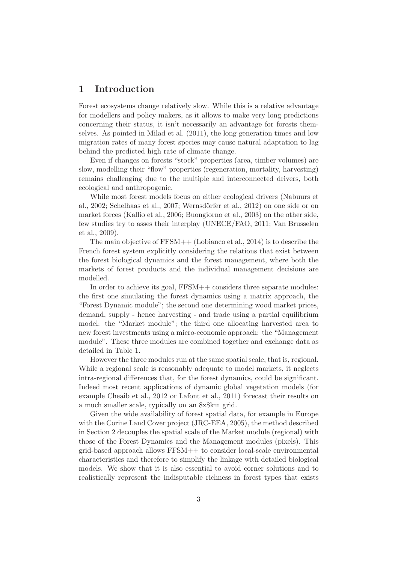# 1 Introduction

Forest ecosystems change relatively slow. While this is a relative advantage for modellers and policy makers, as it allows to make very long predictions concerning their status, it isn't necessarily an advantage for forests themselves. As pointed in Milad et al. (2011), the long generation times and low migration rates of many forest species may cause natural adaptation to lag behind the predicted high rate of climate change.

Even if changes on forests "stock" properties (area, timber volumes) are slow, modelling their "flow" properties (regeneration, mortality, harvesting) remains challenging due to the multiple and interconnected drivers, both ecological and anthropogenic.

While most forest models focus on either ecological drivers (Nabuurs et al., 2002; Schelhaas et al., 2007; Wernsdörfer et al., 2012) on one side or on market forces (Kallio et al., 2006; Buongiorno et al., 2003) on the other side, few studies try to asses their interplay (UNECE/FAO, 2011; Van Brusselen et al., 2009).

The main objective of FFSM++ (Lobianco et al., 2014) is to describe the French forest system explicitly considering the relations that exist between the forest biological dynamics and the forest management, where both the markets of forest products and the individual management decisions are modelled.

In order to achieve its goal, FFSM++ considers three separate modules: the first one simulating the forest dynamics using a matrix approach, the "Forest Dynamic module"; the second one determining wood market prices, demand, supply - hence harvesting - and trade using a partial equilibrium model: the "Market module"; the third one allocating harvested area to new forest investments using a micro-economic approach: the "Management module". These three modules are combined together and exchange data as detailed in Table 1.

However the three modules run at the same spatial scale, that is, regional. While a regional scale is reasonably adequate to model markets, it neglects intra-regional differences that, for the forest dynamics, could be significant. Indeed most recent applications of dynamic global vegetation models (for example Cheaib et al., 2012 or Lafont et al., 2011) forecast their results on a much smaller scale, typically on an 8x8km grid.

Given the wide availability of forest spatial data, for example in Europe with the Corine Land Cover project (JRC-EEA, 2005), the method described in Section 2 decouples the spatial scale of the Market module (regional) with those of the Forest Dynamics and the Management modules (pixels). This grid-based approach allows FFSM++ to consider local-scale environmental characteristics and therefore to simplify the linkage with detailed biological models. We show that it is also essential to avoid corner solutions and to realistically represent the indisputable richness in forest types that exists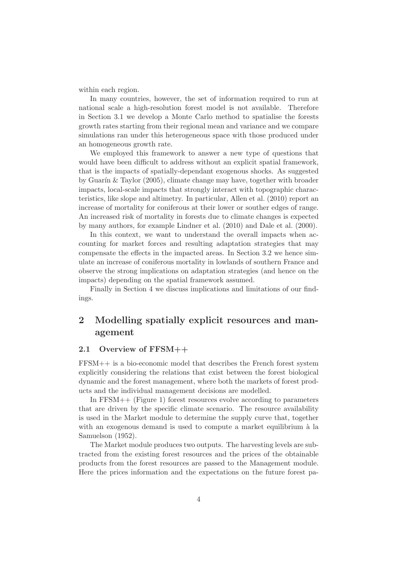within each region.

In many countries, however, the set of information required to run at national scale a high-resolution forest model is not available. Therefore in Section 3.1 we develop a Monte Carlo method to spatialise the forests growth rates starting from their regional mean and variance and we compare simulations ran under this heterogeneous space with those produced under an homogeneous growth rate.

We employed this framework to answer a new type of questions that would have been difficult to address without an explicit spatial framework, that is the impacts of spatially-dependant exogenous shocks. As suggested by Guarín  $&$  Taylor (2005), climate change may have, together with broader impacts, local-scale impacts that strongly interact with topographic characteristics, like slope and altimetry. In particular, Allen et al. (2010) report an increase of mortality for coniferous at their lower or souther edges of range. An increased risk of mortality in forests due to climate changes is expected by many authors, for example Lindner et al. (2010) and Dale et al. (2000).

In this context, we want to understand the overall impacts when accounting for market forces and resulting adaptation strategies that may compensate the effects in the impacted areas. In Section 3.2 we hence simulate an increase of coniferous mortality in lowlands of southern France and observe the strong implications on adaptation strategies (and hence on the impacts) depending on the spatial framework assumed.

Finally in Section 4 we discuss implications and limitations of our findings.

# 2 Modelling spatially explicit resources and management

#### 2.1 Overview of FFSM++

FFSM++ is a bio-economic model that describes the French forest system explicitly considering the relations that exist between the forest biological dynamic and the forest management, where both the markets of forest products and the individual management decisions are modelled.

In FFSM++ (Figure 1) forest resources evolve according to parameters that are driven by the specific climate scenario. The resource availability is used in the Market module to determine the supply curve that, together with an exogenous demand is used to compute a market equilibrium à la Samuelson (1952).

The Market module produces two outputs. The harvesting levels are subtracted from the existing forest resources and the prices of the obtainable products from the forest resources are passed to the Management module. Here the prices information and the expectations on the future forest pa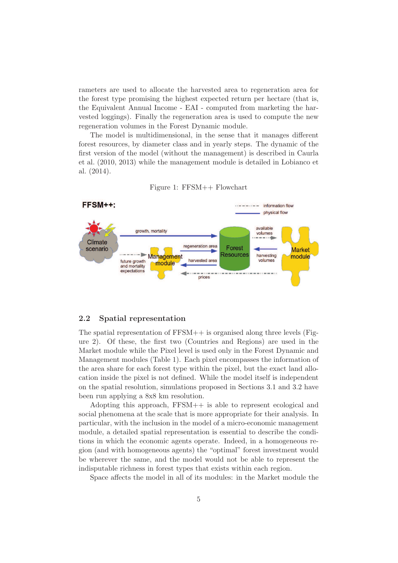rameters are used to allocate the harvested area to regeneration area for the forest type promising the highest expected return per hectare (that is, the Equivalent Annual Income - EAI - computed from marketing the harvested loggings). Finally the regeneration area is used to compute the new regeneration volumes in the Forest Dynamic module.

The model is multidimensional, in the sense that it manages different forest resources, by diameter class and in yearly steps. The dynamic of the first version of the model (without the management) is described in Caurla et al. (2010, 2013) while the management module is detailed in Lobianco et al. (2014).



Figure 1: FFSM++ Flowchart

#### 2.2 Spatial representation

The spatial representation of FFSM++ is organised along three levels (Figure 2). Of these, the first two (Countries and Regions) are used in the Market module while the Pixel level is used only in the Forest Dynamic and Management modules (Table 1). Each pixel encompasses the information of the area share for each forest type within the pixel, but the exact land allocation inside the pixel is not defined. While the model itself is independent on the spatial resolution, simulations proposed in Sections 3.1 and 3.2 have been run applying a 8x8 km resolution.

Adopting this approach, FFSM++ is able to represent ecological and social phenomena at the scale that is more appropriate for their analysis. In particular, with the inclusion in the model of a micro-economic management module, a detailed spatial representation is essential to describe the conditions in which the economic agents operate. Indeed, in a homogeneous region (and with homogeneous agents) the "optimal" forest investment would be wherever the same, and the model would not be able to represent the indisputable richness in forest types that exists within each region.

Space affects the model in all of its modules: in the Market module the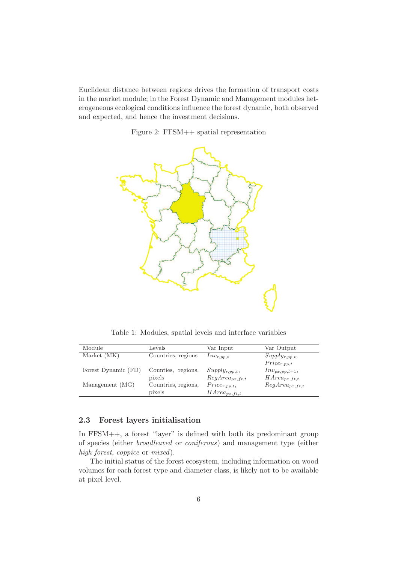Euclidean distance between regions drives the formation of transport costs in the market module; in the Forest Dynamic and Management modules heterogeneous ecological conditions influence the forest dynamic, both observed and expected, and hence the investment decisions.

Figure 2: FFSM++ spatial representation



Table 1: Modules, spatial levels and interface variables

| Module              | Levels              | Var Input           | Var Output          |
|---------------------|---------------------|---------------------|---------------------|
| Market (MK)         | Countries, regions  | $Inv_{r,pp,t}$      | $Supply_{r,pp,t},$  |
|                     |                     |                     | $Price_{r,pp,t}$    |
| Forest Dynamic (FD) | Counties, regions,  | $Supply_{r,pp,t}$ , | $Inv_{px,pp,t+1},$  |
|                     | pixels              | $RegArea_{px,ft,t}$ | $HArea_{px,ft,t}$   |
| Management (MG)     | Countries, regions, | $Price_{r,pp,t},$   | $RegArea_{px,ft,t}$ |
|                     | pixels              | $HArea_{px,ft,t}$   |                     |

#### 2.3 Forest layers initialisation

In FFSM++, a forest "layer" is defined with both its predominant group of species (either *broadleaved* or *coniferous*) and management type (either *high forest*, *coppice* or *mixed*).

The initial status of the forest ecosystem, including information on wood volumes for each forest type and diameter class, is likely not to be available at pixel level.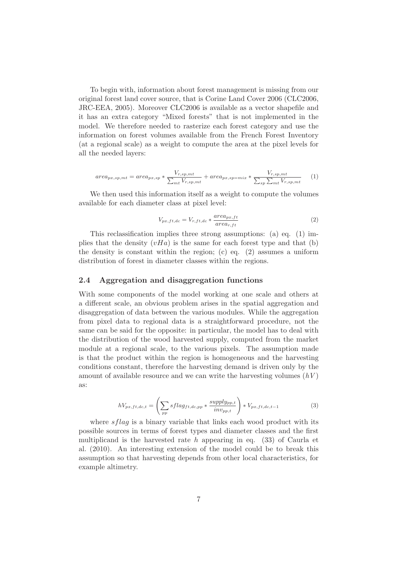To begin with, information about forest management is missing from our original forest land cover source, that is Corine Land Cover 2006 (CLC2006, JRC-EEA, 2005). Moreover CLC2006 is available as a vector shapefile and it has an extra category "Mixed forests" that is not implemented in the model. We therefore needed to rasterize each forest category and use the information on forest volumes available from the French Forest Inventory (at a regional scale) as a weight to compute the area at the pixel levels for all the needed layers:

$$
area_{px,sp,mt} = area_{px,sp} * \frac{V_{r,sp,mt}}{\sum_{mt} V_{r,sp,mt}} + area_{px,sp=mix} * \frac{V_{r,sp,mt}}{\sum_{sp} \sum_{mt} V_{r,sp,mt}}
$$
(1)

We then used this information itself as a weight to compute the volumes available for each diameter class at pixel level:

$$
V_{px,ft,dc} = V_{r,ft,dc} * \frac{area_{px,ft}}{area_{r,ft}} \tag{2}
$$

This reclassification implies three strong assumptions: (a) eq. (1) implies that the density  $(vHa)$  is the same for each forest type and that (b) the density is constant within the region; (c) eq.  $(2)$  assumes a uniform distribution of forest in diameter classes within the regions.

#### 2.4 Aggregation and disaggregation functions

With some components of the model working at one scale and others at a different scale, an obvious problem arises in the spatial aggregation and disaggregation of data between the various modules. While the aggregation from pixel data to regional data is a straightforward procedure, not the same can be said for the opposite: in particular, the model has to deal with the distribution of the wood harvested supply, computed from the market module at a regional scale, to the various pixels. The assumption made is that the product within the region is homogeneous and the harvesting conditions constant, therefore the harvesting demand is driven only by the amount of available resource and we can write the harvesting volumes (*hV* ) as:

$$
hV_{px,ft,dc,t} = \left(\sum_{pp} sflag_{ft,dc,pp} * \frac{supply_{pp,t}}{inv_{pp,t}}\right) * V_{px,ft,dc,t-1}
$$
(3)

where  $sflag$  is a binary variable that links each wood product with its possible sources in terms of forest types and diameter classes and the first multiplicand is the harvested rate h appearing in eq.  $(33)$  of Caurla et al. (2010). An interesting extension of the model could be to break this assumption so that harvesting depends from other local characteristics, for example altimetry.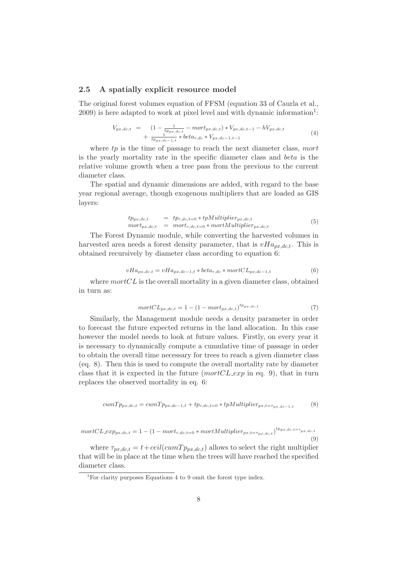#### 2.5 A spatially explicit resource model

The original forest volumes equation of FFSM (equation 33 of Caurla et al.,  $2009$ ) is here adapted to work at pixel level and with dynamic information<sup>1</sup>:

$$
V_{px,dc,t} = \left(1 - \frac{1}{tp_{px,dc,t}} - mort_{px,dc,t}\right) * V_{px,dc,t-1} - hV_{px,dc,t} + \frac{1}{tp_{px,dc-1,t}} * beta_{r,dc} * V_{px,dc-1,t-1}
$$
\n(4)

where  $tp$  is the time of passage to reach the next diameter class, mort is the yearly mortality rate in the specific diameter class and beta is the relative volume growth when a tree pass from the previous to the current diameter class.

The spatial and dynamic dimensions are added, with regard to the base year regional average, though exogenous multipliers that are loaded as GIS layers:

$$
tp_{px,dc,t} = tp_{r,dc,t=0} * tpMultiplier_{px,dc,t} mort_{px,dc,t} = mort_{r,dc,t=0} * mortMultiplier_{px,dc,t}
$$
 (5)

The Forest Dynamic module, while converting the harvested volumes in harvested area needs a forest density parameter, that is  $vHa_{px,dc,t}$ . This is obtained recursively by diameter class according to equation 6:

$$
vHa_{px,dc,t} = vHa_{px,dc-1,t} * beta_{r,dc} * mortCL_{px,dc-1,t}
$$
\n
$$
(6)
$$

where  $mortCL$  is the overall mortality in a given diameter class, obtained in turn as:

$$
mortCL_{px,dc,t} = 1 - (1 - mort_{px,dc,t})^{tp_{px,dc,t}} \tag{7}
$$

Similarly, the Management module needs a density parameter in order to forecast the future expected returns in the land allocation. In this case however the model needs to look at future values. Firstly, on every year it is necessary to dynamically compute a cumulative time of passage in order to obtain the overall time necessary for trees to reach a given diameter class (eq. 8). Then this is used to compute the overall mortality rate by diameter class that it is expected in the future  $(mortCL_{exp})$  in eq. 9), that in turn replaces the observed mortality in eq. 6:

$$
cumTp_{px,dc,t} = cumTp_{px,dc-1,t} + tp_{r,dc,t=0} * t pMultiplier_{px,t=\tau_{px,dc-1,t}} \tag{8}
$$

$$
mortCL\_exp_{px,dc,t} = 1 - (1 - mort_{r,dc,t=0} * mortMultiplier_{px,t=\tau_{px,dc,t}})^{tp_{px,dc,t=\tau_{px,dc,t}}}
$$
(9)

where  $\tau_{px,dc,t} = t + ceil(cumTp_{px,dc,t})$  allows to select the right multiplier that will be in place at the time when the trees will have reached the specified diameter class.

<sup>&</sup>lt;sup>1</sup>For clarity purposes Equations 4 to 9 omit the forest type index.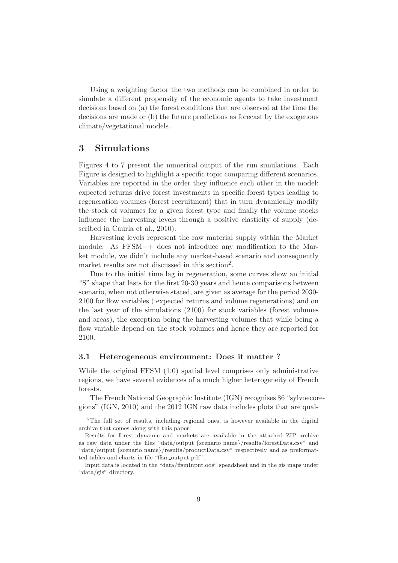Using a weighting factor the two methods can be combined in order to simulate a different propensity of the economic agents to take investment decisions based on (a) the forest conditions that are observed at the time the decisions are made or (b) the future predictions as forecast by the exogenous climate/vegetational models.

# 3 Simulations

Figures 4 to 7 present the numerical output of the run simulations. Each Figure is designed to highlight a specific topic comparing different scenarios. Variables are reported in the order they influence each other in the model: expected returns drive forest investments in specific forest types leading to regeneration volumes (forest recruitment) that in turn dynamically modify the stock of volumes for a given forest type and finally the volume stocks influence the harvesting levels through a positive elasticity of supply (described in Caurla et al., 2010).

Harvesting levels represent the raw material supply within the Market module. As FFSM++ does not introduce any modification to the Market module, we didn't include any market-based scenario and consequently market results are not discussed in this section<sup>2</sup>.

Due to the initial time lag in regeneration, some curves show an initial "S" shape that lasts for the first 20-30 years and hence comparisons between scenario, when not otherwise stated, are given as average for the period 2030- 2100 for flow variables ( expected returns and volume regenerations) and on the last year of the simulations (2100) for stock variables (forest volumes and areas), the exception being the harvesting volumes that while being a flow variable depend on the stock volumes and hence they are reported for 2100.

## 3.1 Heterogeneous environment: Does it matter ?

While the original FFSM  $(1.0)$  spatial level comprises only administrative regions, we have several evidences of a much higher heterogeneity of French forests.

The French National Geographic Institute (IGN) recognises 86 "sylvoecoregions" (IGN, 2010) and the 2012 IGN raw data includes plots that are qual-

<sup>&</sup>lt;sup>2</sup>The full set of results, including regional ones, is however available in the digital archive that comes along with this paper.

Results for forest dynamic and markets are available in the attached ZIP archive as raw data under the files "data/output {scenario name}/results/forestData.csv" and "data/output {scenario name}/results/productData.csv" respectively and as preformatted tables and charts in file "ffsm\_output.pdf".

Input data is located in the "data/ffsmInput.ods" speadsheet and in the gis maps under "data/gis" directory.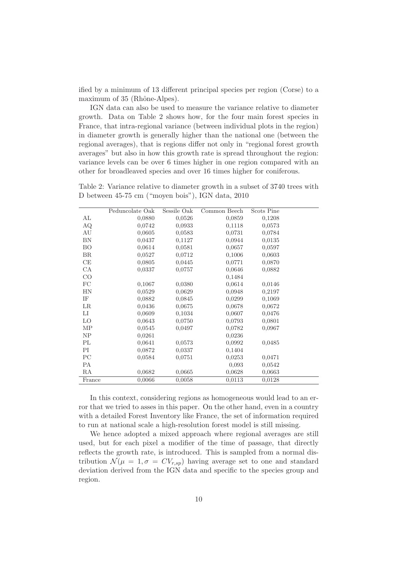ified by a minimum of 13 different principal species per region (Corse) to a maximum of 35 (Rhône-Alpes).

IGN data can also be used to measure the variance relative to diameter growth. Data on Table 2 shows how, for the four main forest species in France, that intra-regional variance (between individual plots in the region) in diameter growth is generally higher than the national one (between the regional averages), that is regions differ not only in "regional forest growth averages" but also in how this growth rate is spread throughout the region: variance levels can be over 6 times higher in one region compared with an other for broadleaved species and over 16 times higher for coniferous.

Table 2: Variance relative to diameter growth in a subset of 3740 trees with D between 45-75 cm ("moyen bois"), IGN data, 2010

|             | Peduncolate Oak | Sessile Oak | Common Beech | Scots Pine |  |
|-------------|-----------------|-------------|--------------|------------|--|
| AL          | 0,0880          | 0,0526      | 0,0859       | 0,1208     |  |
| AQ          | 0,0742          | 0,0933      | 0,1118       | 0,0573     |  |
| AU          | 0,0605          | 0,0583      | 0,0731       | 0,0784     |  |
| BN          | 0,0437          | 0,1127      | 0,0944       | 0,0135     |  |
| <b>BO</b>   | 0,0614          | 0.0581      | 0,0657       | 0,0597     |  |
| BR          | 0.0527          | 0.0712      | 0,1006       | 0,0603     |  |
| CE          | 0,0805          | 0.0445      | 0,0771       | 0,0870     |  |
| CA          | 0,0337          | 0,0757      | 0,0646       | 0,0882     |  |
| CO          |                 |             | 0.1484       |            |  |
| FC          | 0,1067          | 0,0380      | 0,0614       | 0,0146     |  |
| <b>HN</b>   | 0,0529          | 0,0629      | 0,0948       | 0,2197     |  |
| IF          | 0,0882          | 0,0845      | 0,0299       | 0,1069     |  |
| $_{LR}$     | 0,0436          | 0,0675      | 0,0678       | 0,0672     |  |
| $_{\rm LI}$ | 0,0609          | 0,1034      | 0,0607       | 0,0476     |  |
| LO          | 0.0643          | 0,0750      | 0,0793       | 0,0801     |  |
| MP          | 0,0545          | 0,0497      | 0,0782       | 0,0967     |  |
| NP          | 0,0261          |             | 0,0236       |            |  |
| PL          | 0,0641          | 0,0573      | 0,0992       | 0,0485     |  |
| PI          | 0,0872          | 0,0337      | 0,1404       |            |  |
| PC          | 0,0584          | 0,0751      | 0,0253       | 0,0471     |  |
| <b>PA</b>   |                 |             | 0,093        | 0,0542     |  |
| RA          | 0,0682          | 0,0665      | 0,0628       | 0,0663     |  |
| France      | 0,0066          | 0,0058      | 0,0113       | 0,0128     |  |
|             |                 |             |              |            |  |

In this context, considering regions as homogeneous would lead to an error that we tried to asses in this paper. On the other hand, even in a country with a detailed Forest Inventory like France, the set of information required to run at national scale a high-resolution forest model is still missing.

We hence adopted a mixed approach where regional averages are still used, but for each pixel a modifier of the time of passage, that directly reflects the growth rate, is introduced. This is sampled from a normal distribution  $\mathcal{N}(\mu = 1, \sigma = CV_{r,sp})$  having average set to one and standard deviation derived from the IGN data and specific to the species group and region.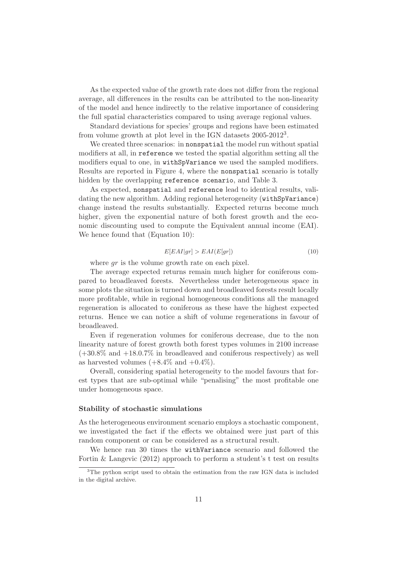As the expected value of the growth rate does not differ from the regional average, all differences in the results can be attributed to the non-linearity of the model and hence indirectly to the relative importance of considering the full spatial characteristics compared to using average regional values.

Standard deviations for species' groups and regions have been estimated from volume growth at plot level in the IGN datasets 2005-2012<sup>3</sup> .

We created three scenarios: in **nonspatial** the model run without spatial modifiers at all, in reference we tested the spatial algorithm setting all the modifiers equal to one, in withSpVariance we used the sampled modifiers. Results are reported in Figure 4, where the nonspatial scenario is totally hidden by the overlapping reference scenario, and Table 3.

As expected, nonspatial and reference lead to identical results, validating the new algorithm. Adding regional heterogeneity (withSpVariance) change instead the results substantially. Expected returns become much higher, given the exponential nature of both forest growth and the economic discounting used to compute the Equivalent annual income (EAI). We hence found that (Equation 10):

$$
E[EAI|gr] > EAI(E[gr])
$$
\n(10)

where  $gr$  is the volume growth rate on each pixel.

The average expected returns remain much higher for coniferous compared to broadleaved forests. Nevertheless under heterogeneous space in some plots the situation is turned down and broadleaved forests result locally more profitable, while in regional homogeneous conditions all the managed regeneration is allocated to coniferous as these have the highest expected returns. Hence we can notice a shift of volume regenerations in favour of broadleaved.

Even if regeneration volumes for coniferous decrease, due to the non linearity nature of forest growth both forest types volumes in 2100 increase  $(+30.8\%$  and  $+18.0.7\%$  in broadleaved and coniferous respectively) as well as harvested volumes  $(+8.4\% \text{ and } +0.4\%).$ 

Overall, considering spatial heterogeneity to the model favours that forest types that are sub-optimal while "penalising" the most profitable one under homogeneous space.

#### Stability of stochastic simulations

As the heterogeneous environment scenario employs a stochastic component, we investigated the fact if the effects we obtained were just part of this random component or can be considered as a structural result.

We hence ran 30 times the withVariance scenario and followed the Fortin & Langevic (2012) approach to perform a student's t test on results

<sup>&</sup>lt;sup>3</sup>The python script used to obtain the estimation from the raw IGN data is included in the digital archive.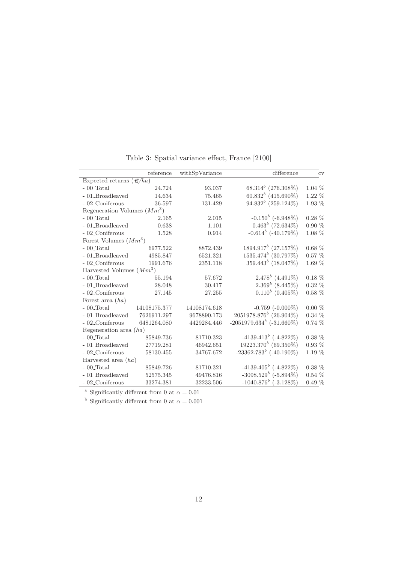|                                     | reference    | withSpVariance | difference                       | <b>CV</b> |
|-------------------------------------|--------------|----------------|----------------------------------|-----------|
| Expected returns $(\mathcal{C}/ha)$ |              |                |                                  |           |
| $-00$ Total                         | 24.724       | 93.037         | $68.314^{b}$ (276.308%)          | $1.04\%$  |
| - 01_Broadleaved                    | 14.634       | 75.465         | $60.832^{b}$ (415.690%)          | $1.22~\%$ |
| - 02_Coniferous                     | 36.597       | 131.429        | $94.832^b$ (259.124%)            | 1.93 %    |
| Regeneration Volumes $(Mm^3)$       |              |                |                                  |           |
| $-00$ Total                         | 2.165        | 2.015          | $-0.150^{b}$ ( $-6.948\%$ )      | $0.28~\%$ |
| - 01_Broadleaved                    | 0.638        | 1.101          | $0.463^b$ (72.634%)              | $0.90~\%$ |
| - 02_Coniferous                     | 1.528        | 0.914          | $-0.614^b$ ( $-40.179\%$ )       | $1.08\%$  |
| Forest Volumes $(Mm^3)$             |              |                |                                  |           |
| $-00$ Total                         | 6977.522     | 8872.439       | $1894.917^b$ (27.157%)           | $0.68~\%$ |
| - 01_Broadleaved                    | 4985.847     | 6521.321       | $1535.474^b$ (30.797%)           | $0.57~\%$ |
| - 02_Coniferous                     | 1991.676     | 2351.118       | $359.443^{b}$ (18.047%)          | $1.69\%$  |
| Harvested Volumes $(Mm^3)$          |              |                |                                  |           |
| $-00$ Total                         | 55.194       | 57.672         | $2.478^b$ (4.491%)               | $0.18~\%$ |
| $-$ 01.<br>Broadleaved              | 28.048       | 30.417         | $2.369b$ (8.445%)                | $0.32~\%$ |
| - 02_Coniferous                     | 27.145       | 27.255         | $0.110^b$ (0.405%)               | $0.58\%$  |
| Forest area $(ha)$                  |              |                |                                  |           |
| $-00$ _Total                        | 14108175.377 | 14108174.618   | $-0.759$ $(-0.000\%)$            | $0.00~\%$ |
| $\mbox{-}$ 01_Broadleaved           | 7626911.297  | 9678890.173    | $2051978.876^{b}$ (26.904%)      | $0.34~\%$ |
| - 02_Coniferous                     | 6481264.080  | 4429284.446    | $-2051979.634^{b}$ $(-31.660\%)$ | $0.74\%$  |
| Regeneration area $(ha)$            |              |                |                                  |           |
| $-00$ -Total                        | 85849.736    | 81710.323      | $-4139.413^b$ $(-4.822\%)$       | $0.38~\%$ |
| - 01_Broadleaved                    | 27719.281    | 46942.651      | $19223.370^{b}$ (69.350%)        | $0.93~\%$ |
| - 02_Coniferous                     | 58130.455    | 34767.672      | $-23362.783^b$ $(-40.190\%)$     | $1.19\%$  |
| Harvested area $(ha)$               |              |                |                                  |           |
| $-00$ Total                         | 85849.726    | 81710.321      | $-4139.405^b$ $(-4.822\%)$       | $0.38\%$  |
| - 01_Broadleaved                    | 52575.345    | 49476.816      | $-3098.529^{b}$ $(-5.894\%)$     | $0.54~\%$ |
| - 02_Coniferous                     | 33274.381    | 32233.506      | $-1040.876^{b}$ ( $-3.128\%$ )   | $0.49~\%$ |

Table 3: Spatial variance effect, France [2100]

<sup>a</sup> Significantly different from 0 at  $\alpha = 0.01$ 

<sup>b</sup> Significantly different from 0 at  $\alpha = 0.001$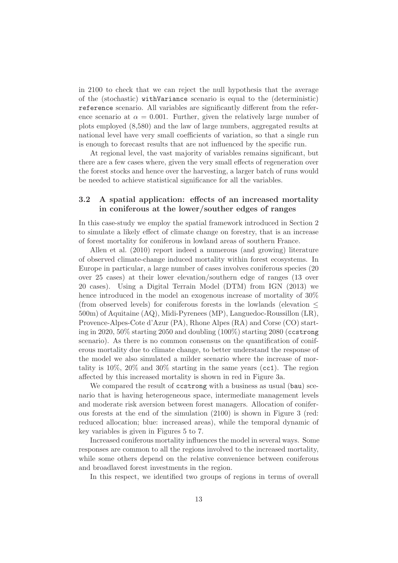in 2100 to check that we can reject the null hypothesis that the average of the (stochastic) withVariance scenario is equal to the (deterministic) reference scenario. All variables are significantly different from the reference scenario at  $\alpha = 0.001$ . Further, given the relatively large number of plots employed (8,580) and the law of large numbers, aggregated results at national level have very small coefficients of variation, so that a single run is enough to forecast results that are not influenced by the specific run.

At regional level, the vast majority of variables remains significant, but there are a few cases where, given the very small effects of regeneration over the forest stocks and hence over the harvesting, a larger batch of runs would be needed to achieve statistical significance for all the variables.

### 3.2 A spatial application: effects of an increased mortality in coniferous at the lower/souther edges of ranges

In this case-study we employ the spatial framework introduced in Section 2 to simulate a likely effect of climate change on forestry, that is an increase of forest mortality for coniferous in lowland areas of southern France.

Allen et al. (2010) report indeed a numerous (and growing) literature of observed climate-change induced mortality within forest ecosystems. In Europe in particular, a large number of cases involves coniferous species (20 over 25 cases) at their lower elevation/southern edge of ranges (13 over 20 cases). Using a Digital Terrain Model (DTM) from IGN (2013) we hence introduced in the model an exogenous increase of mortality of  $30\%$ (from observed levels) for coniferous forests in the lowlands (elevation  $\leq$ 500m) of Aquitaine (AQ), Midi-Pyrenees (MP), Languedoc-Roussillon (LR), Provence-Alpes-Cote d'Azur (PA), Rhone Alpes (RA) and Corse (CO) starting in 2020, 50% starting 2050 and doubling (100%) starting 2080 (ccstrong scenario). As there is no common consensus on the quantification of coniferous mortality due to climate change, to better understand the response of the model we also simulated a milder scenario where the increase of mortality is 10%, 20% and 30% starting in the same years (cc1). The region affected by this increased mortality is shown in red in Figure 3a.

We compared the result of costrong with a business as usual (bau) scenario that is having heterogeneous space, intermediate management levels and moderate risk aversion between forest managers. Allocation of coniferous forests at the end of the simulation (2100) is shown in Figure 3 (red: reduced allocation; blue: increased areas), while the temporal dynamic of key variables is given in Figures 5 to 7.

Increased coniferous mortality influences the model in several ways. Some responses are common to all the regions involved to the increased mortality, while some others depend on the relative convenience between coniferous and broadlaved forest investments in the region.

In this respect, we identified two groups of regions in terms of overall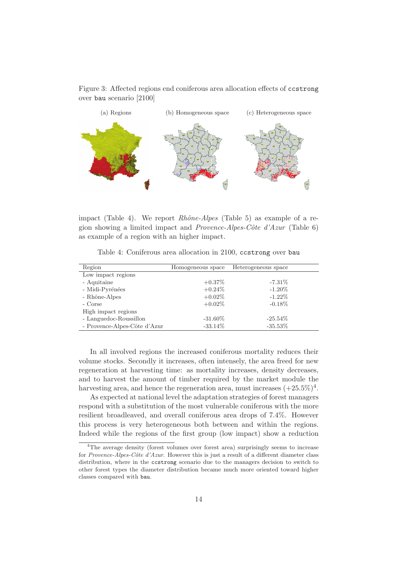Figure 3: Affected regions end coniferous area allocation effects of ccstrong over bau scenario [2100]



impact (Table 4). We report *Rhône-Alpes* (Table 5) as example of a region showing a limited impact and *Provence-Alpes-Cˆote d'Azur* (Table 6) as example of a region with an higher impact.

Table 4: Coniferous area allocation in 2100, ccstrong over bau

| Region                       | Homogeneous space | Heterogeneous space |
|------------------------------|-------------------|---------------------|
| Low impact regions           |                   |                     |
| - Aquitaine                  | $+0.37\%$         | $-7.31\%$           |
| - Midi-Pyrénées              | $+0.24\%$         | $-1.20\%$           |
| - Rhône-Alpes                | $+0.02\%$         | $-1.22\%$           |
| - Corse                      | $+0.02\%$         | $-0.18\%$           |
| High impact regions          |                   |                     |
| - Languedoc-Roussillon       | $-31.60\%$        | $-25.54\%$          |
| - Provence-Alpes-Côte d'Azur | $-33.14\%$        | $-35.53%$           |

In all involved regions the increased coniferous mortality reduces their volume stocks. Secondly it increases, often intensely, the area freed for new regeneration at harvesting time: as mortality increases, density decreases, and to harvest the amount of timber required by the market module the harvesting area, and hence the regeneration area, must increases  $(+25.5\%)^4$ .

As expected at national level the adaptation strategies of forest managers respond with a substitution of the most vulnerable coniferous with the more resilient broadleaved, and overall coniferous area drops of 7.4%. However this process is very heterogeneous both between and within the regions. Indeed while the regions of the first group (low impact) show a reduction

<sup>4</sup>The average density (forest volumes over forest area) surprisingly seems to increase for Provence-Alpes-Côte d'Azur. However this is just a result of a different diameter class distribution, where in the ccstrong scenario due to the managers decision to switch to other forest types the diameter distribution became much more oriented toward higher classes compared with bau.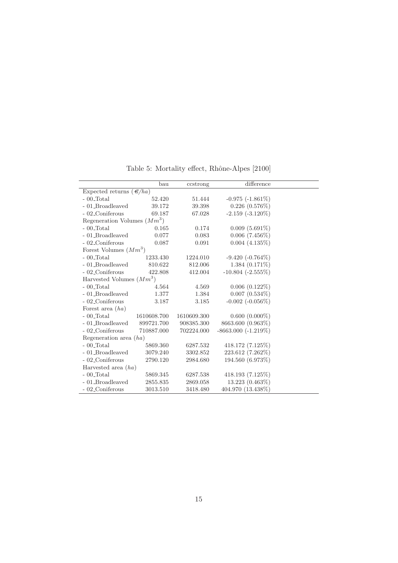|                                     | bau         | ccstrong    | difference               |  |
|-------------------------------------|-------------|-------------|--------------------------|--|
| Expected returns $(\mathcal{C}/ha)$ |             |             |                          |  |
| $-00$ Total                         | 52.420      | 51.444      | $-0.975$ $(-1.861\%)$    |  |
| - 01_Broadleaved                    | 39.172      | 39.398      | $0.226$ $(0.576\%)$      |  |
| - 02_Coniferous                     | 69.187      | 67.028      | $-2.159$ $(-3.120\%)$    |  |
| Regeneration Volumes $(Mm^3)$       |             |             |                          |  |
| $-00$ Total                         | 0.165       | 0.174       | $0.009(5.691\%)$         |  |
| - 01_Broadleaved                    | 0.077       | 0.083       | $0.006$ $(7.456\%)$      |  |
| - 02_Coniferous                     | 0.087       | 0.091       | $0.004(4.135\%)$         |  |
| Forest Volumes $(Mm^3)$             |             |             |                          |  |
| $-00$ Total                         | 1233.430    | 1224.010    | $-9.420(-0.764\%)$       |  |
| - 01_Broadleaved                    | 810.622     | 812.006     | $1.384(0.171\%)$         |  |
| - 02_Coniferous                     | 422.808     | 412.004     | $-10.804$ $(-2.555\%)$   |  |
| Harvested Volumes $(Mm^3)$          |             |             |                          |  |
| $-00$ Total                         | 4.564       | 4.569       | $0.006(0.122\%)$         |  |
| - 01_Broadleaved                    | 1.377       | 1.384       | $0.007$ $(0.534\%)$      |  |
| - 02_Coniferous                     | 3.187       | 3.185       | $-0.002$ $(-0.056\%)$    |  |
| Forest area $(ha)$                  |             |             |                          |  |
| $-00$ Total                         | 1610608.700 | 1610609.300 | $0.600(0.000\%)$         |  |
| - 01_Broadleaved                    | 899721.700  | 908385.300  | 8663.600 (0.963%)        |  |
| - 02_Coniferous                     | 710887.000  | 702224.000  | $-8663.000$ $(-1.219\%)$ |  |
| Regeneration area $(ha)$            |             |             |                          |  |
| $-00$ Total                         | 5869.360    | 6287.532    | 418.172 (7.125%)         |  |
| - 01_Broadleaved                    | 3079.240    | 3302.852    | 223.612 (7.262%)         |  |
| - 02 Coniferous                     | 2790.120    | 2984.680    | 194.560 (6.973%)         |  |
| Harvested area $(ha)$               |             |             |                          |  |
| $-00$ Total                         | 5869.345    | 6287.538    | 418.193 (7.125%)         |  |
| - 01_Broadleaved                    | 2855.835    | 2869.058    | 13.223 (0.463%)          |  |
| - 02_Coniferous                     | 3013.510    | 3418.480    | 404.970 (13.438%)        |  |

Table 5: Mortality effect, Rhône-Alpes  $\left[ 2100\right]$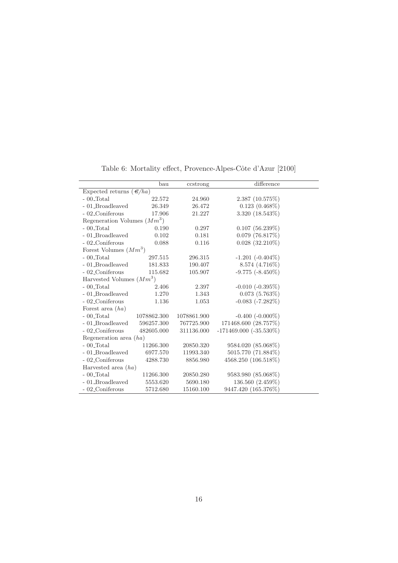|                                     | bau         | ccstrong    | difference                  |  |
|-------------------------------------|-------------|-------------|-----------------------------|--|
| Expected returns $(\mathcal{E}/ha)$ |             |             |                             |  |
| $-00$ Total                         | 22.572      | 24.960      | 2.387(10.575%)              |  |
| - 01_Broadleaved                    | 26.349      | 26.472      | $0.123(0.468\%)$            |  |
| - 02_Coniferous                     | 17.906      | 21.227      | 3.320 (18.543%)             |  |
| Regeneration Volumes $(Mm^3)$       |             |             |                             |  |
| $-00$ Total                         | 0.190       | 0.297       | 0.107(56.239%)              |  |
| - 01_Broadleaved                    | 0.102       | 0.181       | $0.079$ (76.817%)           |  |
| - 02_Coniferous                     | 0.088       | 0.116       | $0.028$ (32.210%)           |  |
| Forest Volumes $(Mm^3)$             |             |             |                             |  |
| $-00$ Total                         | 297.515     | 296.315     | $-1.201$ $(-0.404\%)$       |  |
| - 01_Broadleaved                    | 181.833     | 190.407     | $8.574(4.716\%)$            |  |
| - 02_Coniferous                     | 115.682     | 105.907     | $-9.775$ $(-8.450\%)$       |  |
| Harvested Volumes $(Mm^3)$          |             |             |                             |  |
| $-00$ Total                         | 2.406       | 2.397       | $-0.010$ $(-0.395\%)$       |  |
| - 01_Broadleaved                    | 1.270       | 1.343       | $0.073(5.763\%)$            |  |
| - 02_Coniferous                     | 1.136       | 1.053       | $-0.083$ $(-7.282\%)$       |  |
| Forest area $(ha)$                  |             |             |                             |  |
| $-00$ Total                         | 1078862.300 | 1078861.900 | $-0.400$ $(-0.000\%)$       |  |
| - 01_Broadleaved                    | 596257.300  | 767725.900  | 171468.600 (28.757%)        |  |
| - 02_Coniferous                     | 482605.000  | 311136.000  | $-171469.000$ $(-35.530\%)$ |  |
| Regeneration area $(ha)$            |             |             |                             |  |
| $-00$ Total                         | 11266.300   | 20850.320   | 9584.020 (85.068%)          |  |
| - 01_Broadleaved                    | 6977.570    | 11993.340   | 5015.770 (71.884%)          |  |
| - 02_Coniferous                     | 4288.730    | 8856.980    | 4568.250 (106.518%)         |  |
| Harvested area $(ha)$               |             |             |                             |  |
| $-00$ Total                         | 11266.300   | 20850.280   | 9583.980 (85.068%)          |  |
| - 01_Broadleaved                    | 5553.620    | 5690.180    | 136.560 (2.459%)            |  |
| - 02_Coniferous                     | 5712.680    | 15160.100   | 9447.420 (165.376%)         |  |

Table 6: Mortality effect, Provence-Alpes-Côte d'Azur $\left[2100\right]$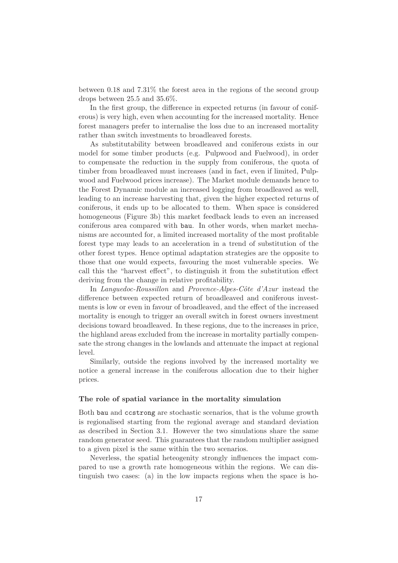between 0.18 and 7.31% the forest area in the regions of the second group drops between 25.5 and 35.6%.

In the first group, the difference in expected returns (in favour of coniferous) is very high, even when accounting for the increased mortality. Hence forest managers prefer to internalise the loss due to an increased mortality rather than switch investments to broadleaved forests.

As substitutability between broadleaved and coniferous exists in our model for some timber products (e.g. Pulpwood and Fuelwood), in order to compensate the reduction in the supply from coniferous, the quota of timber from broadleaved must increases (and in fact, even if limited, Pulpwood and Fuelwood prices increase). The Market module demands hence to the Forest Dynamic module an increased logging from broadleaved as well, leading to an increase harvesting that, given the higher expected returns of coniferous, it ends up to be allocated to them. When space is considered homogeneous (Figure 3b) this market feedback leads to even an increased coniferous area compared with bau. In other words, when market mechanisms are accounted for, a limited increased mortality of the most profitable forest type may leads to an acceleration in a trend of substitution of the other forest types. Hence optimal adaptation strategies are the opposite to those that one would expects, favouring the most vulnerable species. We call this the "harvest effect", to distinguish it from the substitution effect deriving from the change in relative profitability.

In *Languedoc-Roussillon* and *Provence-Alpes-Côte d'Azur* instead the difference between expected return of broadleaved and coniferous investments is low or even in favour of broadleaved, and the effect of the increased mortality is enough to trigger an overall switch in forest owners investment decisions toward broadleaved. In these regions, due to the increases in price, the highland areas excluded from the increase in mortality partially compensate the strong changes in the lowlands and attenuate the impact at regional level.

Similarly, outside the regions involved by the increased mortality we notice a general increase in the coniferous allocation due to their higher prices.

#### The role of spatial variance in the mortality simulation

Both bau and ccstrong are stochastic scenarios, that is the volume growth is regionalised starting from the regional average and standard deviation as described in Section 3.1. However the two simulations share the same random generator seed. This guarantees that the random multiplier assigned to a given pixel is the same within the two scenarios.

Neverless, the spatial heteogenity strongly influences the impact compared to use a growth rate homogeneous within the regions. We can distinguish two cases: (a) in the low impacts regions when the space is ho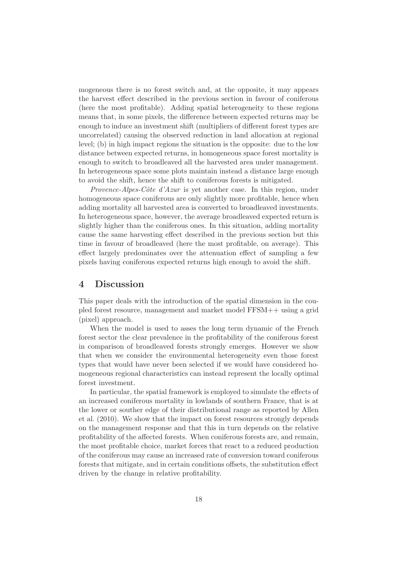mogeneous there is no forest switch and, at the opposite, it may appears the harvest effect described in the previous section in favour of coniferous (here the most profitable). Adding spatial heterogeneity to these regions means that, in some pixels, the difference between expected returns may be enough to induce an investment shift (multipliers of different forest types are uncorrelated) causing the observed reduction in land allocation at regional level; (b) in high impact regions the situation is the opposite: due to the low distance between expected returns, in homogeneous space forest mortality is enough to switch to broadleaved all the harvested area under management. In heterogeneous space some plots maintain instead a distance large enough to avoid the shift, hence the shift to coniferous forests is mitigated.

*Provence-Alpes-Côte d'Azur* is yet another case. In this region, under homogeneous space coniferous are only slightly more profitable, hence when adding mortality all harvested area is converted to broadleaved investments. In heterogeneous space, however, the average broadleaved expected return is slightly higher than the coniferous ones. In this situation, adding mortality cause the same harvesting effect described in the previous section but this time in favour of broadleaved (here the most profitable, on average). This effect largely predominates over the attenuation effect of sampling a few pixels having coniferous expected returns high enough to avoid the shift.

### 4 Discussion

This paper deals with the introduction of the spatial dimension in the coupled forest resource, management and market model FFSM++ using a grid (pixel) approach.

When the model is used to asses the long term dynamic of the French forest sector the clear prevalence in the profitability of the coniferous forest in comparison of broadleaved forests strongly emerges. However we show that when we consider the environmental heterogeneity even those forest types that would have never been selected if we would have considered homogeneous regional characteristics can instead represent the locally optimal forest investment.

In particular, the spatial framework is employed to simulate the effects of an increased coniferous mortality in lowlands of southern France, that is at the lower or souther edge of their distributional range as reported by Allen et al. (2010). We show that the impact on forest resources strongly depends on the management response and that this in turn depends on the relative profitability of the affected forests. When coniferous forests are, and remain, the most profitable choice, market forces that react to a reduced production of the coniferous may cause an increased rate of conversion toward coniferous forests that mitigate, and in certain conditions offsets, the substitution effect driven by the change in relative profitability.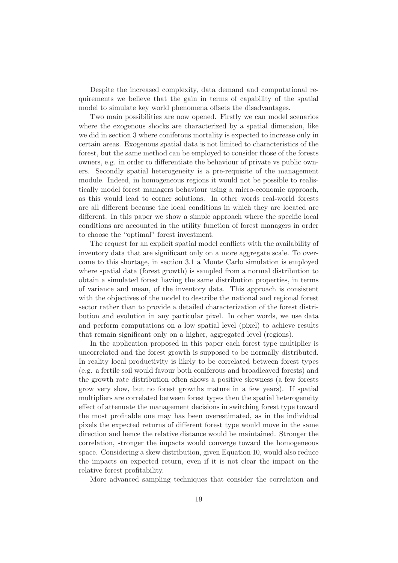Despite the increased complexity, data demand and computational requirements we believe that the gain in terms of capability of the spatial model to simulate key world phenomena offsets the disadvantages.

Two main possibilities are now opened. Firstly we can model scenarios where the exogenous shocks are characterized by a spatial dimension, like we did in section 3 where coniferous mortality is expected to increase only in certain areas. Exogenous spatial data is not limited to characteristics of the forest, but the same method can be employed to consider those of the forests owners, e.g. in order to differentiate the behaviour of private vs public owners. Secondly spatial heterogeneity is a pre-requisite of the management module. Indeed, in homogeneous regions it would not be possible to realistically model forest managers behaviour using a micro-economic approach, as this would lead to corner solutions. In other words real-world forests are all different because the local conditions in which they are located are different. In this paper we show a simple approach where the specific local conditions are accounted in the utility function of forest managers in order to choose the "optimal" forest investment.

The request for an explicit spatial model conflicts with the availability of inventory data that are significant only on a more aggregate scale. To overcome to this shortage, in section 3.1 a Monte Carlo simulation is employed where spatial data (forest growth) is sampled from a normal distribution to obtain a simulated forest having the same distribution properties, in terms of variance and mean, of the inventory data. This approach is consistent with the objectives of the model to describe the national and regional forest sector rather than to provide a detailed characterization of the forest distribution and evolution in any particular pixel. In other words, we use data and perform computations on a low spatial level (pixel) to achieve results that remain significant only on a higher, aggregated level (regions).

In the application proposed in this paper each forest type multiplier is uncorrelated and the forest growth is supposed to be normally distributed. In reality local productivity is likely to be correlated between forest types (e.g. a fertile soil would favour both coniferous and broadleaved forests) and the growth rate distribution often shows a positive skewness (a few forests grow very slow, but no forest growths mature in a few years). If spatial multipliers are correlated between forest types then the spatial heterogeneity effect of attenuate the management decisions in switching forest type toward the most profitable one may has been overestimated, as in the individual pixels the expected returns of different forest type would move in the same direction and hence the relative distance would be maintained. Stronger the correlation, stronger the impacts would converge toward the homogeneous space. Considering a skew distribution, given Equation 10, would also reduce the impacts on expected return, even if it is not clear the impact on the relative forest profitability.

More advanced sampling techniques that consider the correlation and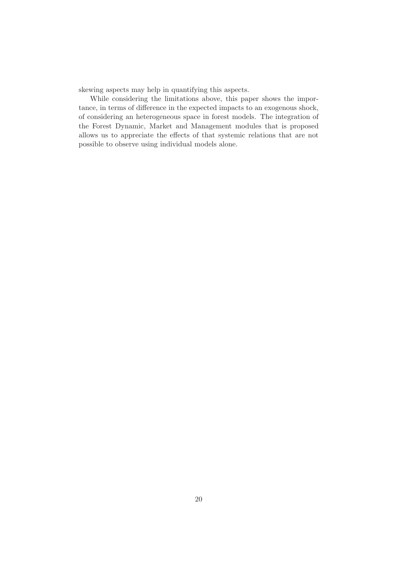skewing aspects may help in quantifying this aspects.

While considering the limitations above, this paper shows the importance, in terms of difference in the expected impacts to an exogenous shock, of considering an heterogeneous space in forest models. The integration of the Forest Dynamic, Market and Management modules that is proposed allows us to appreciate the effects of that systemic relations that are not possible to observe using individual models alone.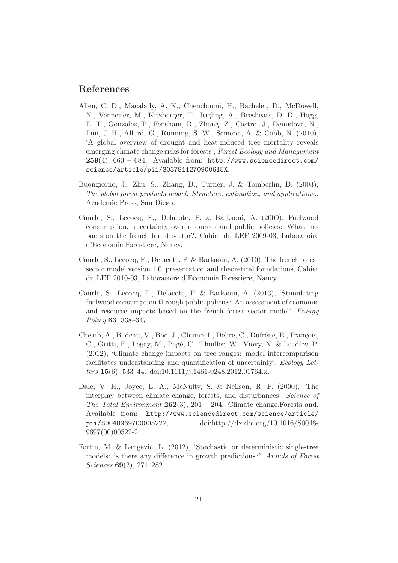# References

- Allen, C. D., Macalady, A. K., Chenchouni, H., Bachelet, D., McDowell, N., Vennetier, M., Kitzberger, T., Rigling, A., Breshears, D. D., Hogg, E. T., Gonzalez, P., Fensham, R., Zhang, Z., Castro, J., Demidova, N., Lim, J.-H., Allard, G., Running, S. W., Semerci, A. & Cobb, N. (2010), 'A global overview of drought and heat-induced tree mortality reveals emerging climate change risks for forests', *Forest Ecology and Management*  $259(4)$ , 660 – 684. Available from: http://www.sciencedirect.com/ science/article/pii/S037811270900615X.
- Buongiorno, J., Zhu, S., Zhang, D., Turner, J. & Tomberlin, D. (2003), *The global forest products model: Structure, estimation, and applications.*, Academic Press, San Diego.
- Caurla, S., Lecocq, F., Delacote, P. & Barkaoui, A. (2009), Fuelwood consumption, uncertainty over resources and public policies: What impacts on the french forest sector?, Cahier du LEF 2009-03, Laboratoire d'Economie Forestiere, Nancy.
- Caurla, S., Lecocq, F., Delacote, P. & Barkaoui, A. (2010), The french forest sector model version 1.0. presentation and theoretical foundations, Cahier du LEF 2010-03, Laboratoire d'Economie Forestiere, Nancy.
- Caurla, S., Lecocq, F., Delacote, P. & Barkaoui, A. (2013), 'Stimulating fuelwood consumption through public policies: An assessment of economic and resource impacts based on the french forest sector model', *Energy Policy* 63, 338–347.
- Cheaib, A., Badeau, V., Boe, J., Chuine, I., Delire, C., Dufrêne, E., François, C., Gritti, E., Legay, M., Pagé, C., Thuiller, W., Viovy, N. & Leadley, P. (2012), 'Climate change impacts on tree ranges: model intercomparison facilitates understanding and quantification of uncertainty', *Ecology Letters* 15(6), 533–44. doi:10.1111/j.1461-0248.2012.01764.x.
- Dale, V. H., Joyce, L. A., McNulty, S. & Neilson, R. P. (2000), 'The interplay between climate change, forests, and disturbances', *Science of The Total Environment* 262(3), 201 – 204. Climate change,Forests and. Available from: http://www.sciencedirect.com/science/article/ pii/S0048969700005222, doi:http://dx.doi.org/10.1016/S0048- 9697(00)00522-2.
- Fortin, M. & Langevic, L. (2012), 'Stochastic or deterministic single-tree models: is there any difference in growth predictions?', *Annals of Forest Sciences* 69(2), 271–282.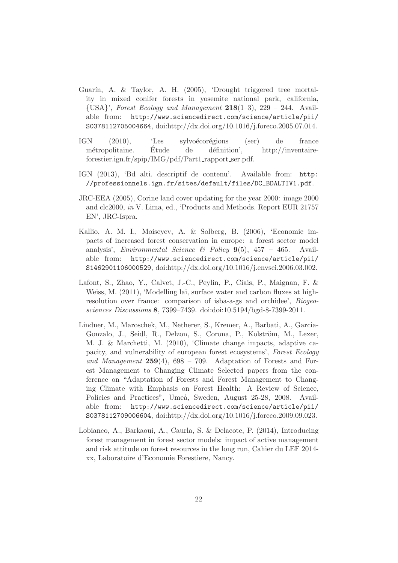- Guarín, A. & Taylor, A. H. (2005), 'Drought triggered tree mortality in mixed conifer forests in yosemite national park, california, {USA}', *Forest Ecology and Management* 218(1–3), 229 – 244. Available from: http://www.sciencedirect.com/science/article/pii/ S0378112705004664, doi:http://dx.doi.org/10.1016/j.foreco.2005.07.014.
- IGN (2010), 'Les sylvoécorégions (ser) de france métropolitaine. Étude de définition', http://inventaireforestier.ign.fr/spip/IMG/pdf/Part1 rapport ser.pdf.
- IGN (2013), 'Bd alti. descriptif de contenu'. Available from: http: //professionnels.ign.fr/sites/default/files/DC\_BDALTIV1.pdf.
- JRC-EEA (2005), Corine land cover updating for the year 2000: image 2000 and clc2000, *in* V. Lima, ed., 'Products and Methods. Report EUR 21757 EN', JRC-Ispra.
- Kallio, A. M. I., Moiseyev, A. & Solberg, B. (2006), 'Economic impacts of increased forest conservation in europe: a forest sector model analysis', *Environmental Science & Policy* 9(5), 457 – 465. Available from: http://www.sciencedirect.com/science/article/pii/ S1462901106000529, doi:http://dx.doi.org/10.1016/j.envsci.2006.03.002.
- Lafont, S., Zhao, Y., Calvet, J.-C., Peylin, P., Ciais, P., Maignan, F. & Weiss, M. (2011), 'Modelling lai, surface water and carbon fluxes at highresolution over france: comparison of isba-a-gs and orchidee', *Biogeosciences Discussions* 8, 7399–7439. doi:doi:10.5194/bgd-8-7399-2011.
- Lindner, M., Maroschek, M., Netherer, S., Kremer, A., Barbati, A., Garcia-Gonzalo, J., Seidl, R., Delzon, S., Corona, P., Kolström, M., Lexer, M. J. & Marchetti, M. (2010), 'Climate change impacts, adaptive capacity, and vulnerability of european forest ecosystems', *Forest Ecology and Management* 259(4), 698 – 709. Adaptation of Forests and Forest Management to Changing Climate Selected papers from the conference on "Adaptation of Forests and Forest Management to Changing Climate with Emphasis on Forest Health: A Review of Science, Policies and Practices", Umeå, Sweden, August 25-28, 2008. Available from: http://www.sciencedirect.com/science/article/pii/ S0378112709006604, doi:http://dx.doi.org/10.1016/j.foreco.2009.09.023.
- Lobianco, A., Barkaoui, A., Caurla, S. & Delacote, P. (2014), Introducing forest management in forest sector models: impact of active management and risk attitude on forest resources in the long run, Cahier du LEF 2014 xx, Laboratoire d'Economie Forestiere, Nancy.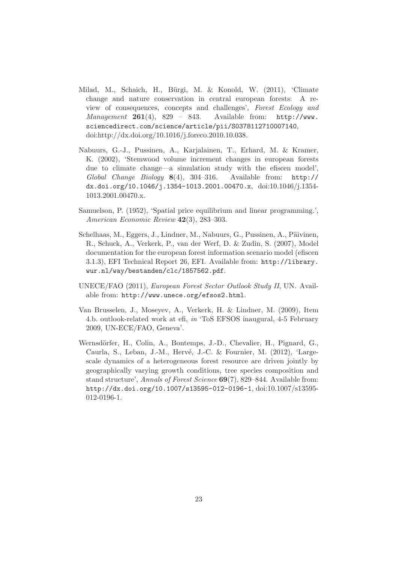- Milad, M., Schaich, H., Bürgi, M. & Konold, W. (2011), 'Climate change and nature conservation in central european forests: A review of consequences, concepts and challenges', *Forest Ecology and Management* 261(4), 829 – 843. Available from: http://www. sciencedirect.com/science/article/pii/S0378112710007140, doi:http://dx.doi.org/10.1016/j.foreco.2010.10.038.
- Nabuurs, G.-J., Pussinen, A., Karjalainen, T., Erhard, M. & Kramer, K. (2002), 'Stemwood volume increment changes in european forests due to climate change—a simulation study with the efiscen model', *Global Change Biology* 8(4), 304–316. Available from: http:// dx.doi.org/10.1046/j.1354-1013.2001.00470.x, doi:10.1046/j.1354- 1013.2001.00470.x.
- Samuelson, P. (1952), 'Spatial price equilibrium and linear programming.', *American Economic Review* 42(3), 283–303.
- Schelhaas, M., Eggers, J., Lindner, M., Nabuurs, G., Pussinen, A., Päivinen, R., Schuck, A., Verkerk, P., van der Werf, D. & Zudin, S. (2007), Model documentation for the european forest information scenario model (efiscen 3.1.3), EFI Technical Report 26, EFI. Available from: http://library. wur.nl/way/bestanden/clc/1857562.pdf.
- UNECE/FAO (2011), *European Forest Sector Outlook Study II*, UN. Available from: http://www.unece.org/efsos2.html.
- Van Brusselen, J., Moseyev, A., Verkerk, H. & Lindner, M. (2009), Item 4.b. outlook-related work at efi, *in* 'ToS EFSOS inaugural, 4-5 February 2009, UN-ECE/FAO, Geneva'.
- Wernsdörfer, H., Colin, A., Bontemps, J.-D., Chevalier, H., Pignard, G., Caurla, S., Leban, J.-M., Hervé, J.-C. & Fournier, M. (2012), 'Largescale dynamics of a heterogeneous forest resource are driven jointly by geographically varying growth conditions, tree species composition and stand structure', *Annals of Forest Science* 69(7), 829–844. Available from: http://dx.doi.org/10.1007/s13595-012-0196-1, doi:10.1007/s13595- 012-0196-1.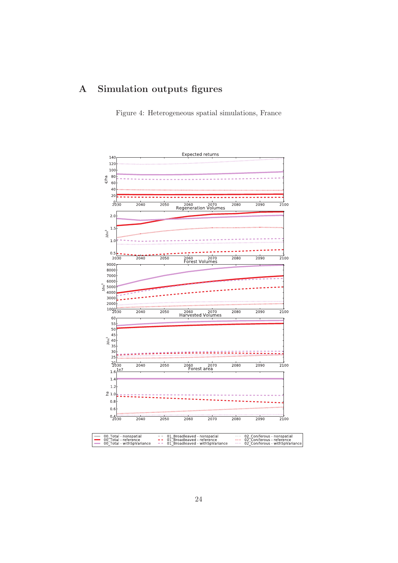# A Simulation outputs figures

Figure 4: Heterogeneous spatial simulations, France

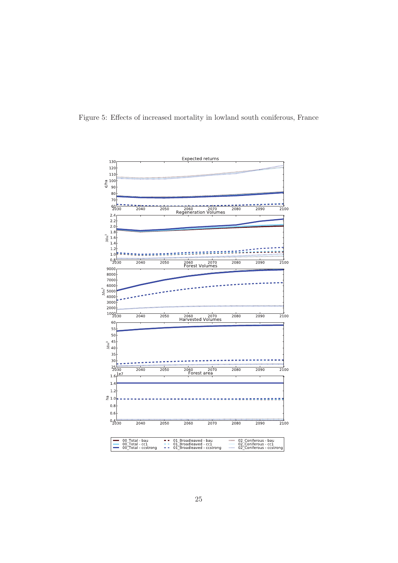

Figure 5: Effects of increased mortality in lowland south coniferous, France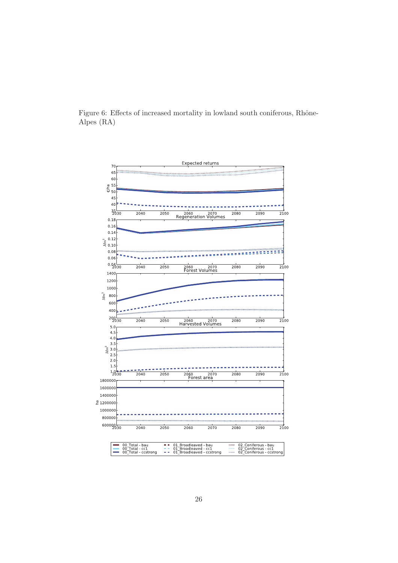

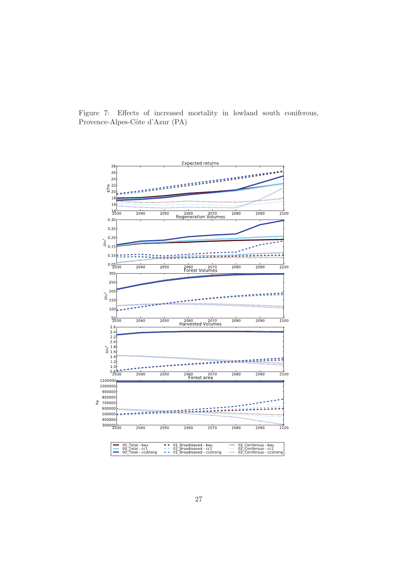

Figure 7: Effects of increased mortality in lowland south coniferous, Provence-Alpes-Côte d'Azur (PA)